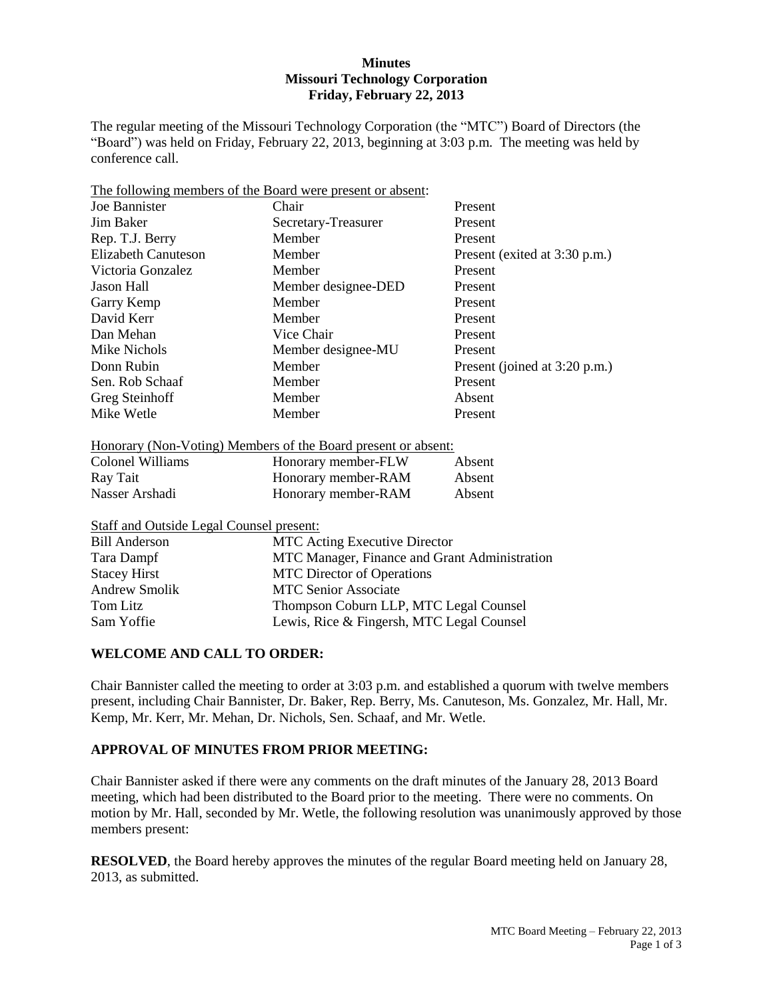## **Minutes Missouri Technology Corporation Friday, February 22, 2013**

The regular meeting of the Missouri Technology Corporation (the "MTC") Board of Directors (the "Board") was held on Friday, February 22, 2013, beginning at 3:03 p.m. The meeting was held by conference call.

| The following members of the Board were present or absent: |                     |                               |  |  |
|------------------------------------------------------------|---------------------|-------------------------------|--|--|
| Joe Bannister                                              | Chair               | Present                       |  |  |
| Jim Baker                                                  | Secretary-Treasurer | Present                       |  |  |
| Rep. T.J. Berry                                            | Member              | Present                       |  |  |
| Elizabeth Canuteson                                        | Member              | Present (exited at 3:30 p.m.) |  |  |
| Victoria Gonzalez                                          | Member              | Present                       |  |  |
| Jason Hall                                                 | Member designee-DED | Present                       |  |  |
| Garry Kemp                                                 | Member              | Present                       |  |  |
| David Kerr                                                 | Member              | Present                       |  |  |
| Dan Mehan                                                  | Vice Chair          | Present                       |  |  |
| Mike Nichols                                               | Member designee-MU  | Present                       |  |  |
| Donn Rubin                                                 | Member              | Present (joined at 3:20 p.m.) |  |  |
| Sen. Rob Schaaf                                            | Member              | Present                       |  |  |
| Greg Steinhoff                                             | Member              | Absent                        |  |  |
| Mike Wetle                                                 | Member              | Present                       |  |  |

### Honorary (Non-Voting) Members of the Board present or absent:

| Colonel Williams | Honorary member-FLW | Absent |
|------------------|---------------------|--------|
| Ray Tait         | Honorary member-RAM | Absent |
| Nasser Arshadi   | Honorary member-RAM | Absent |

# Staff and Outside Legal Counsel present:

| <b>Bill Anderson</b> | <b>MTC</b> Acting Executive Director          |
|----------------------|-----------------------------------------------|
| Tara Dampf           | MTC Manager, Finance and Grant Administration |
| <b>Stacey Hirst</b>  | <b>MTC</b> Director of Operations             |
| <b>Andrew Smolik</b> | <b>MTC Senior Associate</b>                   |
| Tom Litz             | Thompson Coburn LLP, MTC Legal Counsel        |
| Sam Yoffie           | Lewis, Rice & Fingersh, MTC Legal Counsel     |

## **WELCOME AND CALL TO ORDER:**

Chair Bannister called the meeting to order at 3:03 p.m. and established a quorum with twelve members present, including Chair Bannister, Dr. Baker, Rep. Berry, Ms. Canuteson, Ms. Gonzalez, Mr. Hall, Mr. Kemp, Mr. Kerr, Mr. Mehan, Dr. Nichols, Sen. Schaaf, and Mr. Wetle.

# **APPROVAL OF MINUTES FROM PRIOR MEETING:**

Chair Bannister asked if there were any comments on the draft minutes of the January 28, 2013 Board meeting, which had been distributed to the Board prior to the meeting. There were no comments. On motion by Mr. Hall, seconded by Mr. Wetle, the following resolution was unanimously approved by those members present:

**RESOLVED**, the Board hereby approves the minutes of the regular Board meeting held on January 28, 2013, as submitted.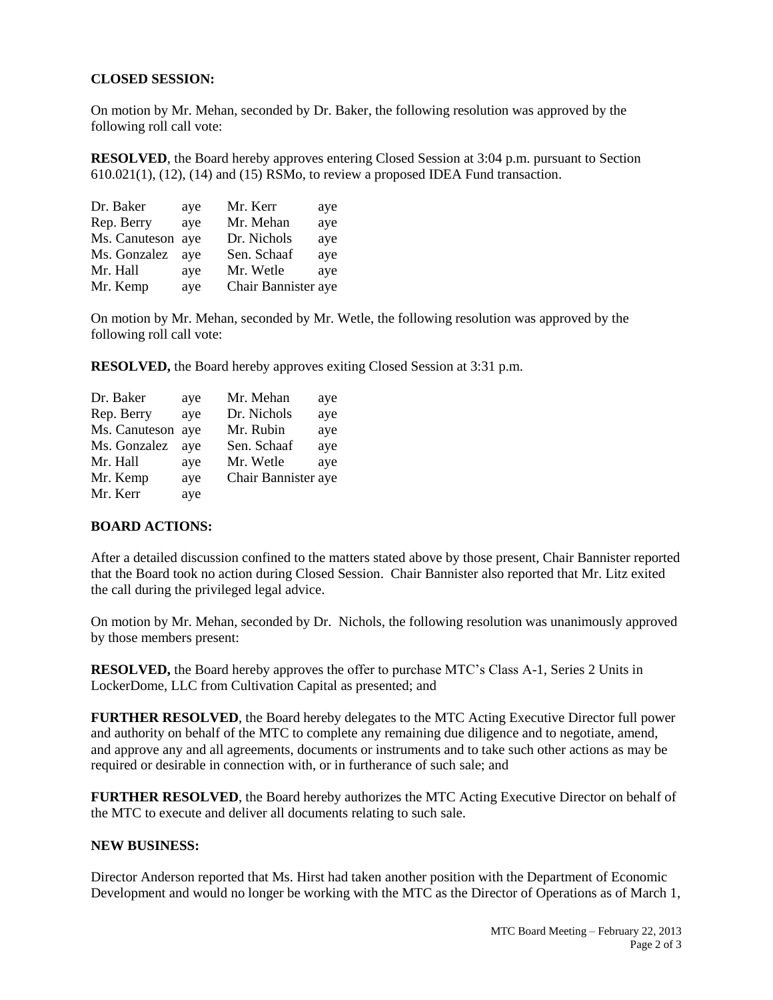### **CLOSED SESSION:**

On motion by Mr. Mehan, seconded by Dr. Baker, the following resolution was approved by the following roll call vote:

**RESOLVED**, the Board hereby approves entering Closed Session at 3:04 p.m. pursuant to Section  $610.021(1)$ ,  $(12)$ ,  $(14)$  and  $(15)$  RSMo, to review a proposed IDEA Fund transaction.

| Dr. Baker         | aye | Mr. Kerr            | aye |
|-------------------|-----|---------------------|-----|
| Rep. Berry        | aye | Mr. Mehan           | aye |
| Ms. Canuteson aye |     | Dr. Nichols         | aye |
| Ms. Gonzalez      | ave | Sen. Schaaf         | aye |
| Mr. Hall          | aye | Mr. Wetle           | aye |
| Mr. Kemp          | aye | Chair Bannister aye |     |

On motion by Mr. Mehan, seconded by Mr. Wetle, the following resolution was approved by the following roll call vote:

**RESOLVED,** the Board hereby approves exiting Closed Session at 3:31 p.m.

| Dr. Baker     | aye | Mr. Mehan           | aye |
|---------------|-----|---------------------|-----|
| Rep. Berry    | aye | Dr. Nichols         | aye |
| Ms. Canuteson | ave | Mr. Rubin           | aye |
| Ms. Gonzalez  | ave | Sen. Schaaf         | aye |
| Mr. Hall      | aye | Mr. Wetle           | aye |
| Mr. Kemp      | aye | Chair Bannister aye |     |
| Mr. Kerr      | aye |                     |     |

#### **BOARD ACTIONS:**

After a detailed discussion confined to the matters stated above by those present, Chair Bannister reported that the Board took no action during Closed Session. Chair Bannister also reported that Mr. Litz exited the call during the privileged legal advice.

On motion by Mr. Mehan, seconded by Dr. Nichols, the following resolution was unanimously approved by those members present:

**RESOLVED,** the Board hereby approves the offer to purchase MTC's Class A-1, Series 2 Units in LockerDome, LLC from Cultivation Capital as presented; and

**FURTHER RESOLVED**, the Board hereby delegates to the MTC Acting Executive Director full power and authority on behalf of the MTC to complete any remaining due diligence and to negotiate, amend, and approve any and all agreements, documents or instruments and to take such other actions as may be required or desirable in connection with, or in furtherance of such sale; and

**FURTHER RESOLVED**, the Board hereby authorizes the MTC Acting Executive Director on behalf of the MTC to execute and deliver all documents relating to such sale.

#### **NEW BUSINESS:**

Director Anderson reported that Ms. Hirst had taken another position with the Department of Economic Development and would no longer be working with the MTC as the Director of Operations as of March 1,